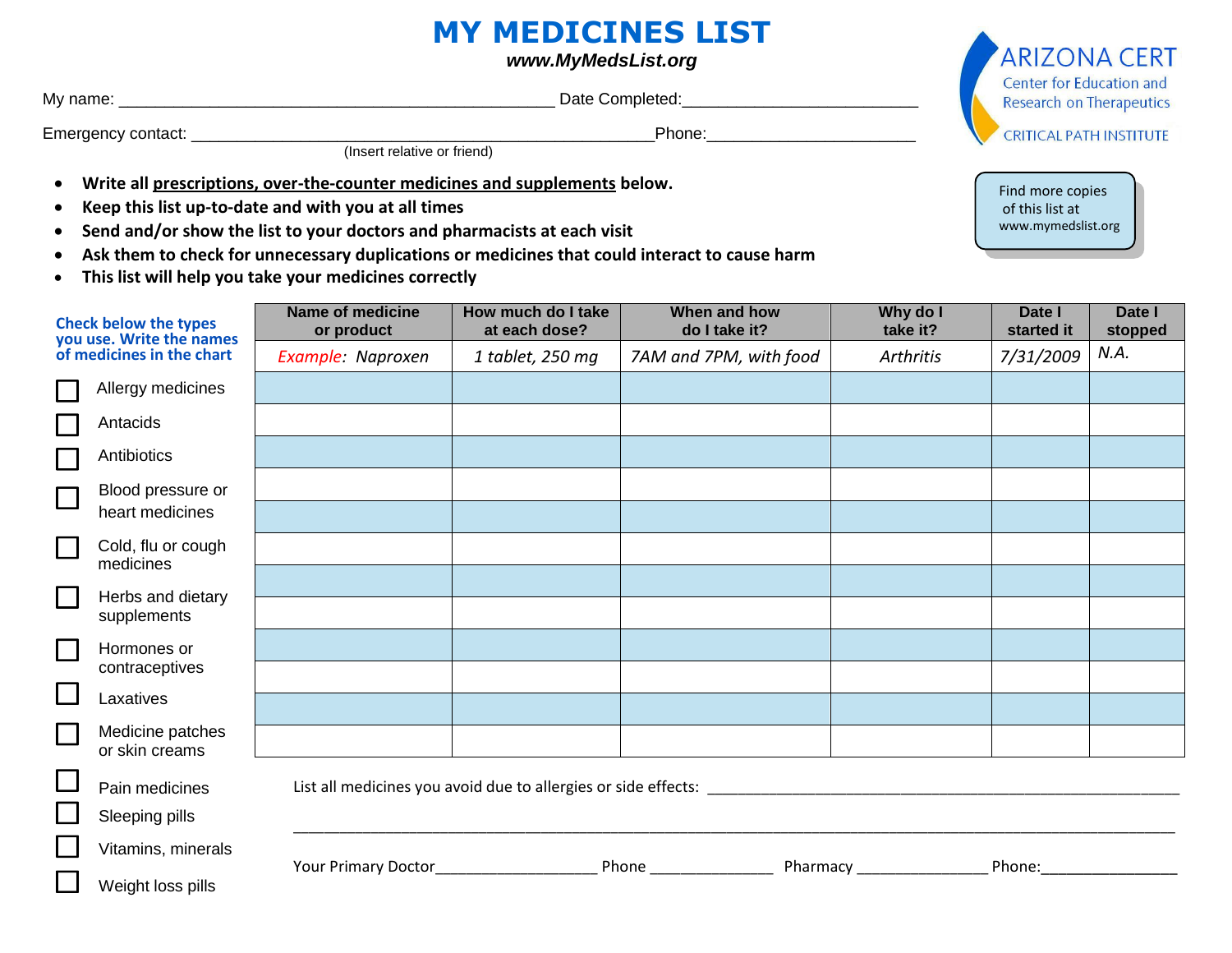## **MY MEDICINES LIST**

*www.MyMedsList.org*

 My name: \_\_\_\_\_\_\_\_\_\_\_\_\_\_\_\_\_\_\_\_\_\_\_\_\_\_\_\_\_\_\_\_\_\_\_\_\_\_\_\_\_\_\_\_\_\_\_\_ Date Completed:\_\_\_\_\_\_\_\_\_\_\_\_\_\_\_\_\_\_\_\_\_\_\_\_\_\_

Emergency contact: \_\_\_\_\_\_\_\_\_\_\_\_\_\_\_\_\_\_\_\_\_\_\_\_\_\_\_\_\_\_\_\_\_\_\_\_\_\_\_\_\_\_\_\_\_\_\_\_\_\_\_Phone:\_\_\_\_\_\_\_\_\_\_\_\_\_\_\_\_\_\_\_\_\_\_\_

*Insert relative or friend* 

- **Write all prescriptions, over-the-counter medicines and supplements below.**
- **Keep this list up-to-date and with you at all times**
- **Send and/or show the list to your doctors and pharmacists at each visit**
- **Ask them to check for unnecessary duplications or medicines that could interact to cause harm**
- **This list will help you take your medicines correctly**

| <b>Check below the types</b><br>you use. Write the names<br>of medicines in the chart |                                    | <b>Name of medicine</b><br>or product                          | How much do I take<br>at each dose? | When and how<br>do I take it? | Why do I<br>take it? | Date I<br>started it                                                                                                                                                                                                           | Date I<br>stopped |
|---------------------------------------------------------------------------------------|------------------------------------|----------------------------------------------------------------|-------------------------------------|-------------------------------|----------------------|--------------------------------------------------------------------------------------------------------------------------------------------------------------------------------------------------------------------------------|-------------------|
|                                                                                       |                                    | Example: Naproxen                                              | 1 tablet, 250 mg                    | 7AM and 7PM, with food        | <b>Arthritis</b>     | 7/31/2009                                                                                                                                                                                                                      | N.A.              |
|                                                                                       | Allergy medicines                  |                                                                |                                     |                               |                      |                                                                                                                                                                                                                                |                   |
|                                                                                       | Antacids                           |                                                                |                                     |                               |                      |                                                                                                                                                                                                                                |                   |
|                                                                                       | Antibiotics                        |                                                                |                                     |                               |                      |                                                                                                                                                                                                                                |                   |
| $\Box$                                                                                | Blood pressure or                  |                                                                |                                     |                               |                      |                                                                                                                                                                                                                                |                   |
|                                                                                       | heart medicines                    |                                                                |                                     |                               |                      |                                                                                                                                                                                                                                |                   |
| $\Box$                                                                                | Cold, flu or cough<br>medicines    |                                                                |                                     |                               |                      |                                                                                                                                                                                                                                |                   |
| $\Box$                                                                                | Herbs and dietary<br>supplements   |                                                                |                                     |                               |                      |                                                                                                                                                                                                                                |                   |
|                                                                                       |                                    |                                                                |                                     |                               |                      |                                                                                                                                                                                                                                |                   |
| $\mathbb{R}^2$                                                                        | Hormones or                        |                                                                |                                     |                               |                      |                                                                                                                                                                                                                                |                   |
| $\Box$                                                                                | contraceptives                     |                                                                |                                     |                               |                      |                                                                                                                                                                                                                                |                   |
|                                                                                       | Laxatives                          |                                                                |                                     |                               |                      |                                                                                                                                                                                                                                |                   |
| $\Box$                                                                                | Medicine patches<br>or skin creams |                                                                |                                     |                               |                      |                                                                                                                                                                                                                                |                   |
| $\Box$                                                                                | Pain medicines                     | List all medicines you avoid due to allergies or side effects: |                                     |                               |                      |                                                                                                                                                                                                                                |                   |
|                                                                                       | Sleeping pills                     |                                                                |                                     |                               |                      |                                                                                                                                                                                                                                |                   |
|                                                                                       | Vitamins, minerals                 |                                                                |                                     |                               |                      | Phone: and the state of the state of the state of the state of the state of the state of the state of the state of the state of the state of the state of the state of the state of the state of the state of the state of the |                   |
|                                                                                       | Weight loss pills                  |                                                                |                                     |                               |                      |                                                                                                                                                                                                                                |                   |



Find more copies of this list at www.mymedslist.org